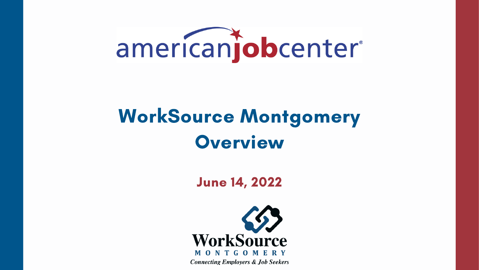

# WorkSource Montgomery Overview

June 14, 2022

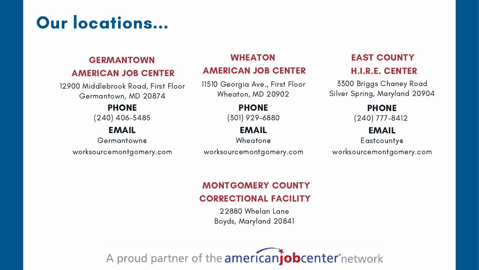11510 Georgia Ave., First Floor Wheaton, MD 20902

## WHEATON

### AMERICAN JOB CENTER

(301) 929-6880

### PHONE

12900 Middlebrook Road, First Floor Germantown, MD 20874

# Our locations...

## GERMANTOWN

### AMERICAN JOB CENTER

(240) 406-5485

## PHONE

Wheaton@

### EMAIL

Germantown@

worksourcemontgomery.com

## EMAIL

3300 Briggs Chaney Road Silver Spring, Maryland 20904

worksourcemontgomery.com worksourcemontgomery.com

## EAST COUNTY H.I.R.E. CENTER

(240) 777-8412

### PHONE

Eastcounty@

## EMAIL

22880 Whelan Lane Boyds, Maryland 20841

A proud partner of the americanjobcenter network

## MONTGOMERY COUNTY CORRECTIONAL FACILITY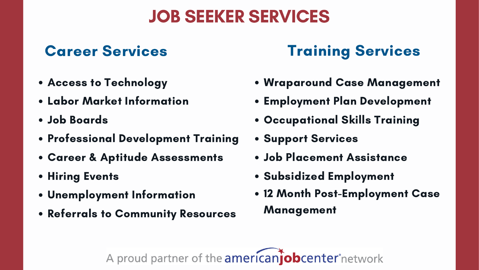# JOB SEEKER SERVICES

## Career Services Training Services

- Wraparound Case Management
- Employment Plan Development
- Occupational Skills Training
- **Support Services**
- Job Placement Assistance
- **Subsidized Employment**
- 12 Month Post-Employment Case
	- Management

A proud partner of the americanjobcenter network



## Access to Technology

- Labor Market Information
- Job Boards
- Professional Development Training
- Career & Aptitude Assessments
- **Hiring Events**
- Unemployment Information
- Referrals to Community Resources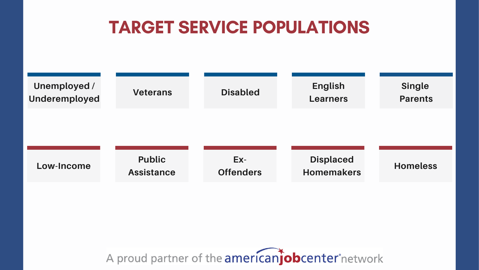## TARGET SERVICE POPULATIONS

**Homeless**

**Displaced Homemakers**







## **Single Parents**

**English Learners**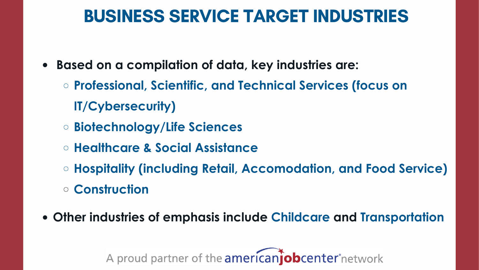## BUSINESS SERVICE TARGET INDUSTRIES

- **Based on a compilation of data, key industries are: Professional, Scientific, and Technical Services (focus on IT/Cybersecurity)**
	- **Biotechnology/Life Sciences**
	- **Healthcare & Social Assistance**
	- **Hospitality (including Retail, Accomodation, and Food Service)**
	- **Construction**
- **Other industries of emphasis include Childcare and Transportation**

A proud partner of the **americanjob center** network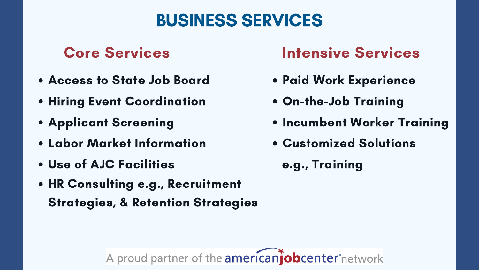## Access to State Job Board **• Hiring Event Coordination** Applicant Screening Labor Market Information Use of AJC Facilities HR Consulting e.g., Recruitment Strategies, & Retention Strategies Paid Work Experience On-the-Job Training • Incumbent Worker Training Customized Solutions e.g., Training

A proud partner of the americanjobcenter network

# BUSINESS SERVICES

## Core Services Intensive Services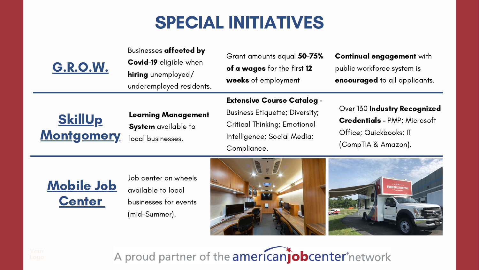# SPECIAL INITIATIVES

### Learning Management

System available to local businesses.

## Mobile Job **Center**

G.R.O.W.

### Extensive Course Catalog -

## **SkillUp** Montgomery

Over 130 Industry Recognized Credentials - PMP; Microsoft Office; Quickbooks; IT (CompTIA & Amazon).

Business Etiquette; Diversity; Critical Thinking; Emotional Intelligence; Social Media; Compliance.

Grant amounts equal 50-75% of a wages for the first 12 weeks of employment

### Continual engagement with public workforce system is encouraged to all applicants.

### Businesses affected by



Job center on wheels available to local businesses for events (mid-Summer).



A proud partner of the americanjobcenter network